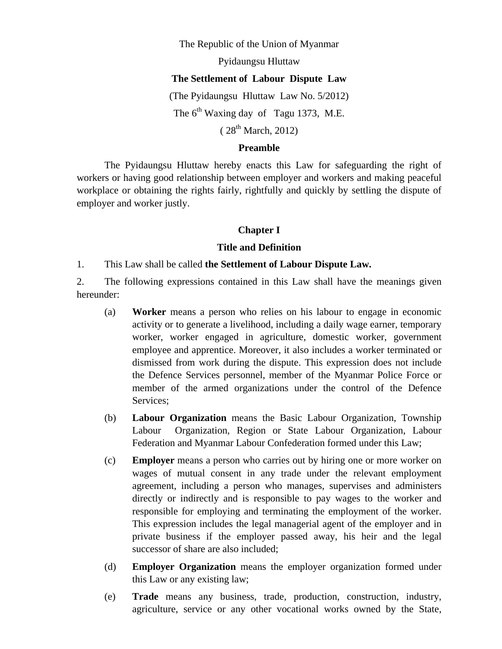#### The Republic of the Union of Myanmar

Pyidaungsu Hluttaw

#### **The Settlement of Labour Dispute Law**

(The Pyidaungsu Hluttaw Law No. 5/2012)

The  $6^{th}$  Waxing day of Tagu 1373, M.E.

# $(28^{th}$  March, 2012)

#### **Preamble**

 The Pyidaungsu Hluttaw hereby enacts this Law for safeguarding the right of workers or having good relationship between employer and workers and making peaceful workplace or obtaining the rights fairly, rightfully and quickly by settling the dispute of employer and worker justly.

#### **Chapter I**

#### **Title and Definition**

1. This Law shall be called **the Settlement of Labour Dispute Law.** 

2. The following expressions contained in this Law shall have the meanings given hereunder:

- (a) **Worker** means a person who relies on his labour to engage in economic activity or to generate a livelihood, including a daily wage earner, temporary worker, worker engaged in agriculture, domestic worker, government employee and apprentice. Moreover, it also includes a worker terminated or dismissed from work during the dispute. This expression does not include the Defence Services personnel, member of the Myanmar Police Force or member of the armed organizations under the control of the Defence Services;
- (b) **Labour Organization** means the Basic Labour Organization, Township Labour Organization, Region or State Labour Organization, Labour Federation and Myanmar Labour Confederation formed under this Law;
- (c) **Employer** means a person who carries out by hiring one or more worker on wages of mutual consent in any trade under the relevant employment agreement, including a person who manages, supervises and administers directly or indirectly and is responsible to pay wages to the worker and responsible for employing and terminating the employment of the worker. This expression includes the legal managerial agent of the employer and in private business if the employer passed away, his heir and the legal successor of share are also included;
- (d) **Employer Organization** means the employer organization formed under this Law or any existing law;
- (e) **Trade** means any business, trade, production, construction, industry, agriculture, service or any other vocational works owned by the State,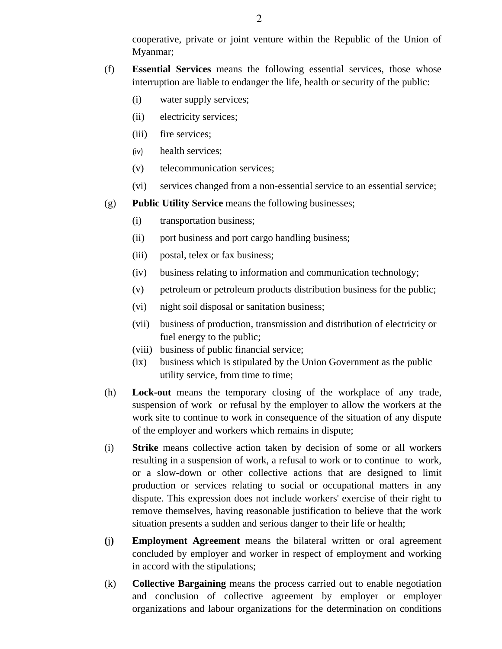cooperative, private or joint venture within the Republic of the Union of Myanmar;

- (f) **Essential Services** means the following essential services, those whose interruption are liable to endanger the life, health or security of the public:
	- (i) water supply services;
	- (ii) electricity services;
	- (iii) fire services;
	- (iv) health services;
	- (v) telecommunication services;
	- (vi) services changed from a non-essential service to an essential service;
- (g) **Public Utility Service** means the following businesses;
	- (i) transportation business;
	- (ii) port business and port cargo handling business;
	- (iii) postal, telex or fax business;
	- (iv) business relating to information and communication technology;
	- (v) petroleum or petroleum products distribution business for the public;
	- (vi) night soil disposal or sanitation business;
	- (vii) business of production, transmission and distribution of electricity or fuel energy to the public;
	- (viii) business of public financial service;
	- (ix) business which is stipulated by the Union Government as the public utility service, from time to time;
- (h) **Lock-out** means the temporary closing of the workplace of any trade, suspension of work or refusal by the employer to allow the workers at the work site to continue to work in consequence of the situation of any dispute of the employer and workers which remains in dispute;
- (i) **Strike** means collective action taken by decision of some or all workers resulting in a suspension of work, a refusal to work or to continue to work, or a slow-down or other collective actions that are designed to limit production or services relating to social or occupational matters in any dispute. This expression does not include workers' exercise of their right to remove themselves, having reasonable justification to believe that the work situation presents a sudden and serious danger to their life or health;
- **(**j**) Employment Agreement** means the bilateral written or oral agreement concluded by employer and worker in respect of employment and working in accord with the stipulations;
- (k) **Collective Bargaining** means the process carried out to enable negotiation and conclusion of collective agreement by employer or employer organizations and labour organizations for the determination on conditions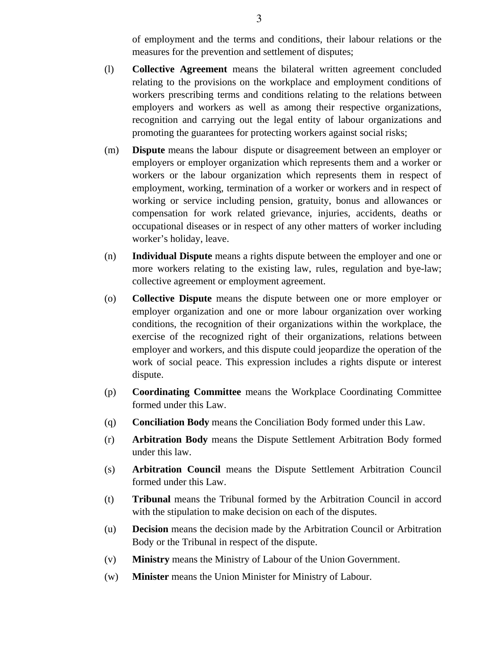of employment and the terms and conditions, their labour relations or the measures for the prevention and settlement of disputes;

- (l) **Collective Agreement** means the bilateral written agreement concluded relating to the provisions on the workplace and employment conditions of workers prescribing terms and conditions relating to the relations between employers and workers as well as among their respective organizations, recognition and carrying out the legal entity of labour organizations and promoting the guarantees for protecting workers against social risks;
- (m) **Dispute** means the labour dispute or disagreement between an employer or employers or employer organization which represents them and a worker or workers or the labour organization which represents them in respect of employment, working, termination of a worker or workers and in respect of working or service including pension, gratuity, bonus and allowances or compensation for work related grievance, injuries, accidents, deaths or occupational diseases or in respect of any other matters of worker including worker's holiday, leave.
- (n) **Individual Dispute** means a rights dispute between the employer and one or more workers relating to the existing law, rules, regulation and bye-law; collective agreement or employment agreement.
- (o) **Collective Dispute** means the dispute between one or more employer or employer organization and one or more labour organization over working conditions, the recognition of their organizations within the workplace, the exercise of the recognized right of their organizations, relations between employer and workers, and this dispute could jeopardize the operation of the work of social peace. This expression includes a rights dispute or interest dispute.
- (p) **Coordinating Committee** means the Workplace Coordinating Committee formed under this Law.
- (q) **Conciliation Body** means the Conciliation Body formed under this Law.
- (r) **Arbitration Body** means the Dispute Settlement Arbitration Body formed under this law.
- (s) **Arbitration Council** means the Dispute Settlement Arbitration Council formed under this Law.
- (t) **Tribunal** means the Tribunal formed by the Arbitration Council in accord with the stipulation to make decision on each of the disputes.
- (u) **Decision** means the decision made by the Arbitration Council or Arbitration Body or the Tribunal in respect of the dispute.
- (v) **Ministry** means the Ministry of Labour of the Union Government.
- (w) **Minister** means the Union Minister for Ministry of Labour.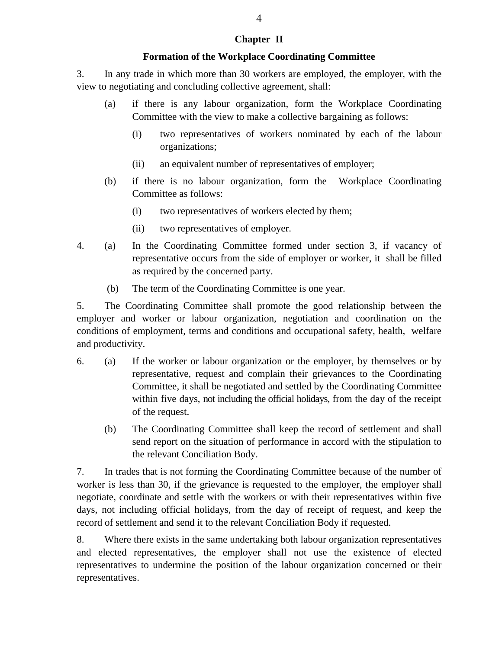# **Chapter II**

### **Formation of the Workplace Coordinating Committee**

3. In any trade in which more than 30 workers are employed, the employer, with the view to negotiating and concluding collective agreement, shall:

- (a) if there is any labour organization, form the Workplace Coordinating Committee with the view to make a collective bargaining as follows:
	- (i) two representatives of workers nominated by each of the labour organizations;
	- (ii) an equivalent number of representatives of employer;
- (b) if there is no labour organization, form the Workplace Coordinating Committee as follows:
	- (i) two representatives of workers elected by them;
	- (ii) two representatives of employer.
- 4. (a) In the Coordinating Committee formed under section 3, if vacancy of representative occurs from the side of employer or worker, it shall be filled as required by the concerned party.
	- (b) The term of the Coordinating Committee is one year.

5. The Coordinating Committee shall promote the good relationship between the employer and worker or labour organization, negotiation and coordination on the conditions of employment, terms and conditions and occupational safety, health, welfare and productivity.

- 6. (a) If the worker or labour organization or the employer, by themselves or by representative, request and complain their grievances to the Coordinating Committee, it shall be negotiated and settled by the Coordinating Committee within five days, not including the official holidays, from the day of the receipt of the request.
	- (b) The Coordinating Committee shall keep the record of settlement and shall send report on the situation of performance in accord with the stipulation to the relevant Conciliation Body.

7. In trades that is not forming the Coordinating Committee because of the number of worker is less than 30, if the grievance is requested to the employer, the employer shall negotiate, coordinate and settle with the workers or with their representatives within five days, not including official holidays, from the day of receipt of request, and keep the record of settlement and send it to the relevant Conciliation Body if requested.

8. Where there exists in the same undertaking both labour organization representatives and elected representatives, the employer shall not use the existence of elected representatives to undermine the position of the labour organization concerned or their representatives.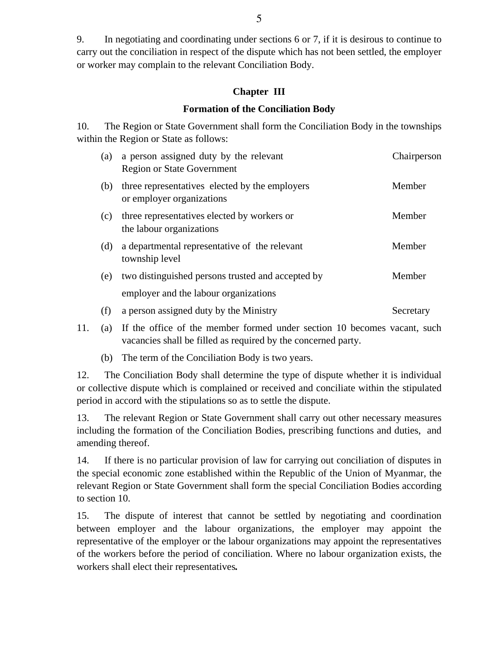9. In negotiating and coordinating under sections 6 or 7, if it is desirous to continue to carry out the conciliation in respect of the dispute which has not been settled, the employer or worker may complain to the relevant Conciliation Body.

### **Chapter III**

### **Formation of the Conciliation Body**

10. The Region or State Government shall form the Conciliation Body in the townships within the Region or State as follows:

| (a) | a person assigned duty by the relevant<br><b>Region or State Government</b>                | Chairperson |
|-----|--------------------------------------------------------------------------------------------|-------------|
| (b) | three representatives elected by the employers<br>or employer organizations                | Member      |
| (c) | three representatives elected by workers or<br>the labour organizations                    | Member      |
| (d) | a departmental representative of the relevant<br>township level                            | Member      |
| (e) | two distinguished persons trusted and accepted by<br>employer and the labour organizations | Member      |
| (f) | a person assigned duty by the Ministry                                                     | Secretary   |
|     | $\mathbf{v} \cdot \mathbf{v} = \mathbf{v} \cdot \mathbf{v} \cdot \mathbf{v}$               |             |

- 11. (a) If the office of the member formed under section 10 becomes vacant, such vacancies shall be filled as required by the concerned party.
	- (b) The term of the Conciliation Body is two years.

12. The Conciliation Body shall determine the type of dispute whether it is individual or collective dispute which is complained or received and conciliate within the stipulated period in accord with the stipulations so as to settle the dispute.

13. The relevant Region or State Government shall carry out other necessary measures including the formation of the Conciliation Bodies, prescribing functions and duties, and amending thereof.

14. If there is no particular provision of law for carrying out conciliation of disputes in the special economic zone established within the Republic of the Union of Myanmar, the relevant Region or State Government shall form the special Conciliation Bodies according to section 10.

15. The dispute of interest that cannot be settled by negotiating and coordination between employer and the labour organizations, the employer may appoint the representative of the employer or the labour organizations may appoint the representatives of the workers before the period of conciliation. Where no labour organization exists, the workers shall elect their representatives*.*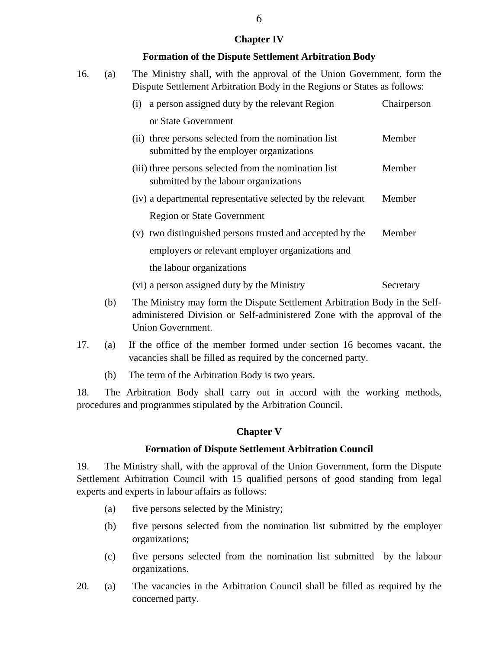### **Chapter IV**

### **Formation of the Dispute Settlement Arbitration Body**

| 16. | (a) | The Ministry shall, with the approval of the Union Government, form the<br>Dispute Settlement Arbitration Body in the Regions or States as follows: |             |  |  |
|-----|-----|-----------------------------------------------------------------------------------------------------------------------------------------------------|-------------|--|--|
|     |     | a person assigned duty by the relevant Region<br>(i)                                                                                                | Chairperson |  |  |
|     |     | or State Government                                                                                                                                 |             |  |  |
|     |     | (ii) three persons selected from the nomination list<br>submitted by the employer organizations                                                     | Member      |  |  |
|     |     | (iii) three persons selected from the nomination list<br>submitted by the labour organizations                                                      | Member      |  |  |
|     |     | (iv) a departmental representative selected by the relevant                                                                                         | Member      |  |  |
|     |     | <b>Region or State Government</b>                                                                                                                   |             |  |  |
|     |     | (v) two distinguished persons trusted and accepted by the                                                                                           | Member      |  |  |
|     |     | employers or relevant employer organizations and                                                                                                    |             |  |  |
|     |     | the labour organizations                                                                                                                            |             |  |  |
|     |     | (vi) a person assigned duty by the Ministry                                                                                                         | Secretary   |  |  |

- (b) The Ministry may form the Dispute Settlement Arbitration Body in the Selfadministered Division or Self-administered Zone with the approval of the Union Government.
- 17. (a) If the office of the member formed under section 16 becomes vacant, the vacancies shall be filled as required by the concerned party.
	- (b) The term of the Arbitration Body is two years.

18. The Arbitration Body shall carry out in accord with the working methods, procedures and programmes stipulated by the Arbitration Council.

### **Chapter V**

### **Formation of Dispute Settlement Arbitration Council**

19. The Ministry shall, with the approval of the Union Government, form the Dispute Settlement Arbitration Council with 15 qualified persons of good standing from legal experts and experts in labour affairs as follows:

- (a) five persons selected by the Ministry;
- (b) five persons selected from the nomination list submitted by the employer organizations;
- (c) five persons selected from the nomination list submitted by the labour organizations.
- 20. (a) The vacancies in the Arbitration Council shall be filled as required by the concerned party.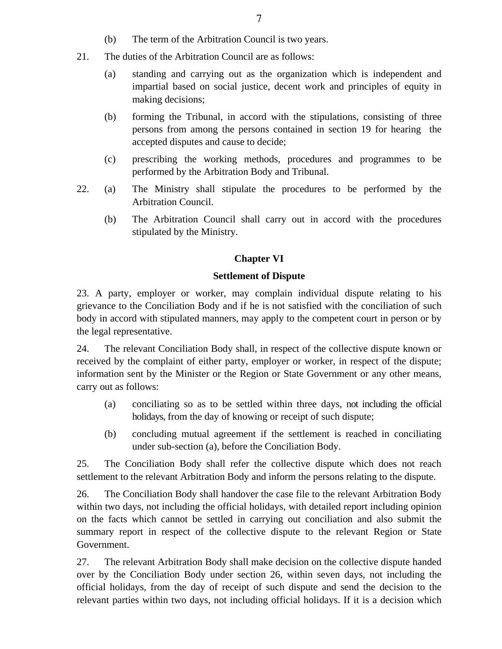- (b) The term of the Arbitration Council is two years.
- 21. The duties of the Arbitration Council are as follows:
	- (a) standing and carrying out as the organization which is independent and impartial based on social justice, decent work and principles of equity in making decisions;
	- (b) forming the Tribunal, in accord with the stipulations, consisting of three persons from among the persons contained in section 19 for hearing the accepted disputes and cause to decide;
	- (c) prescribing the working methods, procedures and programmes to be performed by the Arbitration Body and Tribunal.
- 22. (a) The Ministry shall stipulate the procedures to be performed by the Arbitration Council.
	- (b) The Arbitration Council shall carry out in accord with the procedures stipulated by the Ministry.

# **Chapter VI**

# **Settlement of Dispute**

23. A party, employer or worker, may complain individual dispute relating to his grievance to the Conciliation Body and if he is not satisfied with the conciliation of such body in accord with stipulated manners, may apply to the competent court in person or by the legal representative.

24. The relevant Conciliation Body shall, in respect of the collective dispute known or received by the complaint of either party, employer or worker, in respect of the dispute; information sent by the Minister or the Region or State Government or any other means, carry out as follows:

- (a) conciliating so as to be settled within three days, not including the official holidays, from the day of knowing or receipt of such dispute;
- (b) concluding mutual agreement if the settlement is reached in conciliating under sub-section (a), before the Conciliation Body.

25. The Conciliation Body shall refer the collective dispute which does not reach settlement to the relevant Arbitration Body and inform the persons relating to the dispute.

26. The Conciliation Body shall handover the case file to the relevant Arbitration Body within two days, not including the official holidays, with detailed report including opinion on the facts which cannot be settled in carrying out conciliation and also submit the summary report in respect of the collective dispute to the relevant Region or State Government.

27. The relevant Arbitration Body shall make decision on the collective dispute handed over by the Conciliation Body under section 26, within seven days, not including the official holidays, from the day of receipt of such dispute and send the decision to the relevant parties within two days, not including official holidays. If it is a decision which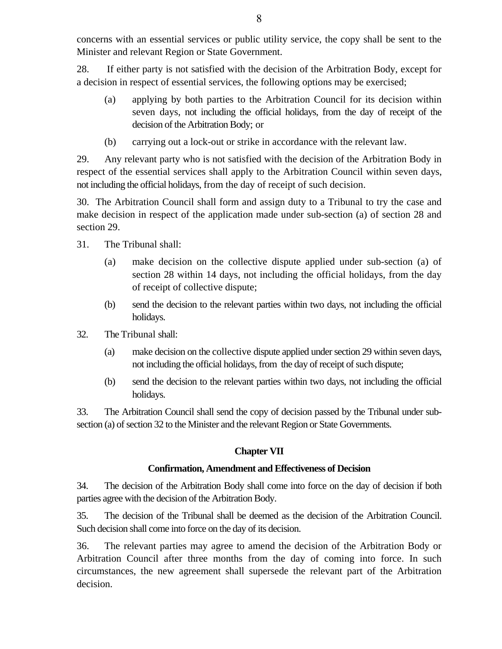concerns with an essential services or public utility service, the copy shall be sent to the Minister and relevant Region or State Government.

28. If either party is not satisfied with the decision of the Arbitration Body, except for a decision in respect of essential services, the following options may be exercised;

- (a) applying by both parties to the Arbitration Council for its decision within seven days, not including the official holidays, from the day of receipt of the decision of the Arbitration Body; or
- (b) carrying out a lock-out or strike in accordance with the relevant law.

29. Any relevant party who is not satisfied with the decision of the Arbitration Body in respect of the essential services shall apply to the Arbitration Council within seven days, not including the official holidays, from the day of receipt of such decision.

30. The Arbitration Council shall form and assign duty to a Tribunal to try the case and make decision in respect of the application made under sub-section (a) of section 28 and section 29.

- 31. The Tribunal shall:
	- (a) make decision on the collective dispute applied under sub-section (a) of section 28 within 14 days, not including the official holidays, from the day of receipt of collective dispute;
	- (b) send the decision to the relevant parties within two days, not including the official holidays.
- 32. The Tribunal shall:
	- (a) make decision on the collective dispute applied under section 29 within seven days, not including the official holidays, from the day of receipt of such dispute;
	- (b) send the decision to the relevant parties within two days, not including the official holidays.

33. The Arbitration Council shall send the copy of decision passed by the Tribunal under subsection (a) of section 32 to the Minister and the relevant Region or State Governments.

# **Chapter VII**

# **Confirmation, Amendment and Effectiveness of Decision**

34. The decision of the Arbitration Body shall come into force on the day of decision if both parties agree with the decision of the Arbitration Body.

35. The decision of the Tribunal shall be deemed as the decision of the Arbitration Council. Such decision shall come into force on the day of its decision.

36. The relevant parties may agree to amend the decision of the Arbitration Body or Arbitration Council after three months from the day of coming into force. In such circumstances, the new agreement shall supersede the relevant part of the Arbitration decision.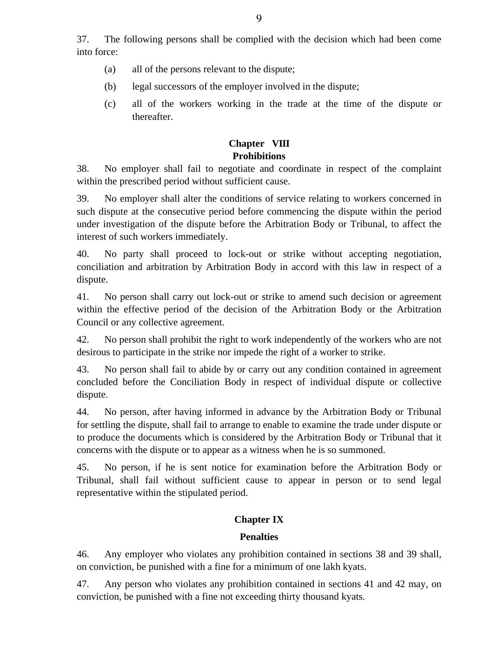37. The following persons shall be complied with the decision which had been come into force:

- (a) all of the persons relevant to the dispute;
- (b) legal successors of the employer involved in the dispute;
- (c) all of the workers working in the trade at the time of the dispute or thereafter.

# **Chapter VIII Prohibitions**

38. No employer shall fail to negotiate and coordinate in respect of the complaint within the prescribed period without sufficient cause.

39. No employer shall alter the conditions of service relating to workers concerned in such dispute at the consecutive period before commencing the dispute within the period under investigation of the dispute before the Arbitration Body or Tribunal, to affect the interest of such workers immediately.

40. No party shall proceed to lock-out or strike without accepting negotiation, conciliation and arbitration by Arbitration Body in accord with this law in respect of a dispute.

41. No person shall carry out lock-out or strike to amend such decision or agreement within the effective period of the decision of the Arbitration Body or the Arbitration Council or any collective agreement.

42. No person shall prohibit the right to work independently of the workers who are not desirous to participate in the strike nor impede the right of a worker to strike.

43. No person shall fail to abide by or carry out any condition contained in agreement concluded before the Conciliation Body in respect of individual dispute or collective dispute.

44. No person, after having informed in advance by the Arbitration Body or Tribunal for settling the dispute, shall fail to arrange to enable to examine the trade under dispute or to produce the documents which is considered by the Arbitration Body or Tribunal that it concerns with the dispute or to appear as a witness when he is so summoned.

45. No person, if he is sent notice for examination before the Arbitration Body or Tribunal, shall fail without sufficient cause to appear in person or to send legal representative within the stipulated period.

# **Chapter IX**

# **Penalties**

46. Any employer who violates any prohibition contained in sections 38 and 39 shall, on conviction, be punished with a fine for a minimum of one lakh kyats.

47. Any person who violates any prohibition contained in sections 41 and 42 may, on conviction, be punished with a fine not exceeding thirty thousand kyats.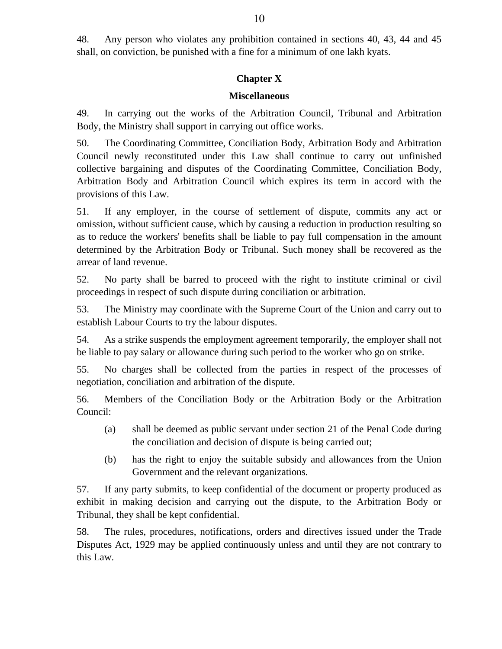48. Any person who violates any prohibition contained in sections 40, 43, 44 and 45 shall, on conviction, be punished with a fine for a minimum of one lakh kyats.

# **Chapter X**

### **Miscellaneous**

49. In carrying out the works of the Arbitration Council, Tribunal and Arbitration Body, the Ministry shall support in carrying out office works.

50. The Coordinating Committee, Conciliation Body, Arbitration Body and Arbitration Council newly reconstituted under this Law shall continue to carry out unfinished collective bargaining and disputes of the Coordinating Committee, Conciliation Body, Arbitration Body and Arbitration Council which expires its term in accord with the provisions of this Law.

51. If any employer, in the course of settlement of dispute, commits any act or omission, without sufficient cause, which by causing a reduction in production resulting so as to reduce the workers' benefits shall be liable to pay full compensation in the amount determined by the Arbitration Body or Tribunal. Such money shall be recovered as the arrear of land revenue.

52. No party shall be barred to proceed with the right to institute criminal or civil proceedings in respect of such dispute during conciliation or arbitration.

53. The Ministry may coordinate with the Supreme Court of the Union and carry out to establish Labour Courts to try the labour disputes.

54. As a strike suspends the employment agreement temporarily, the employer shall not be liable to pay salary or allowance during such period to the worker who go on strike.

55. No charges shall be collected from the parties in respect of the processes of negotiation, conciliation and arbitration of the dispute.

56. Members of the Conciliation Body or the Arbitration Body or the Arbitration Council:

- (a) shall be deemed as public servant under section 21 of the Penal Code during the conciliation and decision of dispute is being carried out;
- (b) has the right to enjoy the suitable subsidy and allowances from the Union Government and the relevant organizations.

57. If any party submits, to keep confidential of the document or property produced as exhibit in making decision and carrying out the dispute, to the Arbitration Body or Tribunal, they shall be kept confidential.

58. The rules, procedures, notifications, orders and directives issued under the Trade Disputes Act, 1929 may be applied continuously unless and until they are not contrary to this Law.